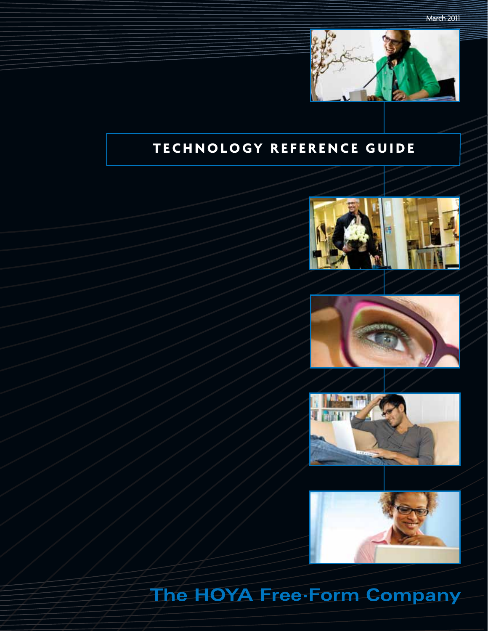

# **TECHNOLOGY REFERENCE GUIDE**









# The HOYA Free Form Company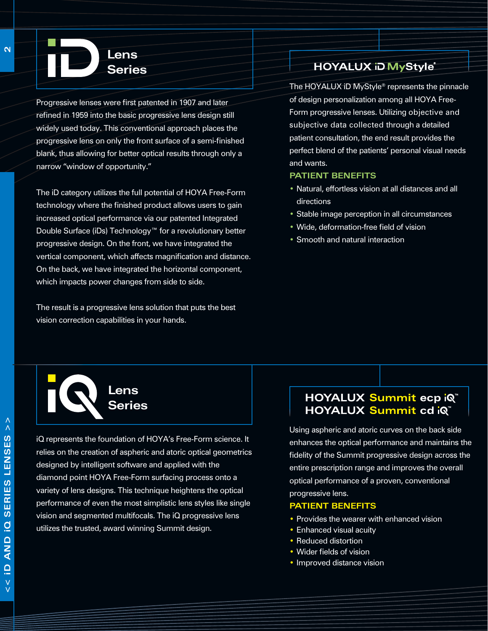Progressive lenses were first patented in 1907 and later refined in 1959 into the basic progressive lens design still widely used today. This conventional approach places the progressive lens on only the front surface of a semi-finished blank, thus allowing for better optical results through only a narrow "window of opportunity."

**Lens Series**

The iD category utilizes the full potential of HOYA Free-Form technology where the finished product allows users to gain increased optical performance via our patented Integrated Double Surface (iDs) Technology™ for a revolutionary better progressive design. On the front, we have integrated the vertical component, which affects magnification and distance. On the back, we have integrated the horizontal component, which impacts power changes from side to side.

The result is a progressive lens solution that puts the best vision correction capabilities in your hands.

# HOYALUX iD MyStyle®

The HOYALUX iD MyStyle® represents the pinnacle of design personalization among all HOYA Free-Form progressive lenses. Utilizing objective and subjective data collected through a detailed patient consultation, the end result provides the perfect blend of the patients' personal visual needs and wants.

#### **Patient Benefits**

- Natural, effortless vision at all distances and all directions
- Stable image perception in all circumstances
- Wide, deformation-free field of vision
- Smooth and natural interaction



iQ represents the foundation of HOYA's Free-Form science. It relies on the creation of aspheric and atoric optical geometrics designed by intelligent software and applied with the diamond point HOYA Free-Form surfacing process onto a variety of lens designs. This technique heightens the optical performance of even the most simplistic lens styles like single vision and segmented multifocals. The iQ progressive lens utilizes the trusted, award winning Summit design.

# HOYALUX Summit ecp iQ HOYALUX Summit cd iQ"

Using aspheric and atoric curves on the back side enhances the optical performance and maintains the fidelity of the Summit progressive design across the entire prescription range and improves the overall optical performance of a proven, conventional progressive lens.

#### **Patient Benefits**

- Provides the wearer with enhanced vision
- Enhanced visual acuity
- Reduced distortion
- Wider fields of vision
- Improved distance vision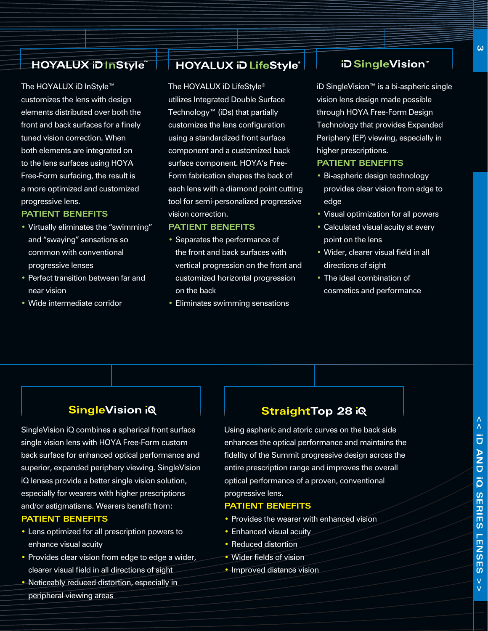# HOYALUX iD InStyle

The HOYALUX iD InStyle™ customizes the lens with design elements distributed over both the front and back surfaces for a finely tuned vision correction. When both elements are integrated on to the lens surfaces using HOYA Free-Form surfacing, the result is a more optimized and customized progressive lens.

#### **Patient Benefits**

- • Virtually eliminates the "swimming" and "swaying" sensations so common with conventional progressive lenses
- Perfect transition between far and near vision
- • Wide intermediate corridor

# **HOYALUX iD LifeStyle®**

The HOYALUX iD LifeStyle® utilizes Integrated Double Surface Technology™ (iDs) that partially customizes the lens configuration using a standardized front surface component and a customized back surface component. HOYA's Free-Form fabrication shapes the back of each lens with a diamond point cutting tool for semi-personalized progressive vision correction.

#### **Patient Benefits**

- Separates the performance of the front and back surfaces with vertical progression on the front and customized horizontal progression on the back
- Eliminates swimming sensations

# **iDSingleVision**™

iD SingleVision™ is a bi-aspheric single vision lens design made possible through HOYA Free-Form Design Technology that provides Expanded Periphery (EP) viewing, especially in higher prescriptions.

#### **Patient Benefits**

- Bi-aspheric design technology provides clear vision from edge to edge
- • Visual optimization for all powers
- Calculated visual acuity at every point on the lens
- Wider, clearer visual field in all directions of sight
- The ideal combination of cosmetics and performance

# **SingleVision iQ**

SingleVision iQ combines a spherical front surface single vision lens with HOYA Free-Form custom back surface for enhanced optical performance and superior, expanded periphery viewing. SingleVision iQ lenses provide a better single vision solution, especially for wearers with higher prescriptions and/or astigmatisms. Wearers benefit from: **Patient Benefits**

- Lens optimized for all prescription powers to enhance visual acuity
- Provides clear vision from edge to edge a wider, clearer visual field in all directions of sight
- Noticeably reduced distortion, especially in peripheral viewing areas

# **StraightTop 28 iQ**

Using aspheric and atoric curves on the back side enhances the optical performance and maintains the fidelity of the Summit progressive design across the entire prescription range and improves the overall optical performance of a proven, conventional progressive lens.

#### **Patient Benefits**

- Provides the wearer with enhanced vision
- Enhanced visual acuity
- Reduced distortion
- Wider fields of vision
- Improved distance vision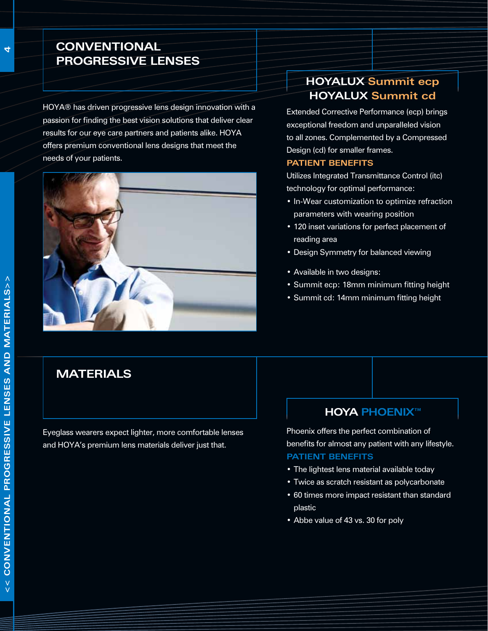# **Conventional Progressive lenses**

HOYA® has driven progressive lens design innovation with a passion for finding the best vision solutions that deliver clear results for our eye care partners and patients alike. HOYA offers premium conventional lens designs that meet the needs of your patients.



# **HOYALUX Summit ecp HOYALUX Summit cd**

Extended Corrective Performance (ecp) brings exceptional freedom and unparalleled vision to all zones. Complemented by a Compressed Design (cd) for smaller frames.

#### **Patient Benefits**

Utilizes Integrated Transmittance Control (itc) technology for optimal performance:

- • In-Wear customization to optimize refraction parameters with wearing position
- 120 inset variations for perfect placement of reading area
- Design Symmetry for balanced viewing
- • Available in two designs:
- • Summit ecp: 18mm minimum fitting height
- • Summit cd: 14mm minimum fitting height

# **Materials**

Eyeglass wearers expect lighter, more comfortable lenses and HOYA's premium lens materials deliver just that.

### **HOYA PHOENIX™**

Phoenix offers the perfect combination of benefits for almost any patient with any lifestyle. **Patient Benefits**

- The lightest lens material available today
- Twice as scratch resistant as polycarbonate
- • 60 times more impact resistant than standard plastic
- Abbe value of 43 vs. 30 for poly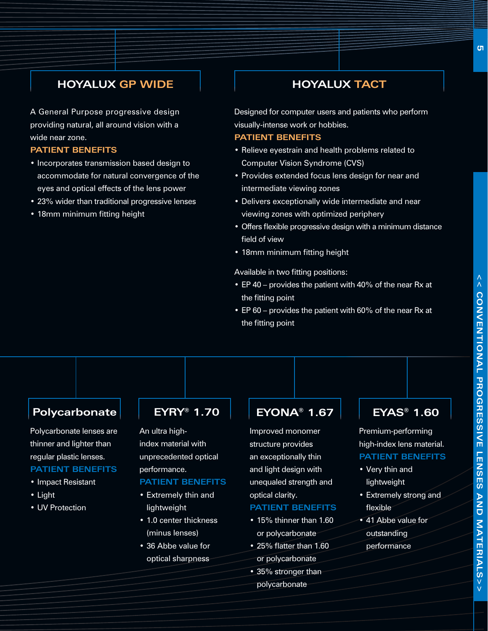# **HOYALUX GP WIDE**

A General Purpose progressive design providing natural, all around vision with a wide near zone.

#### **Patient Benefits**

- Incorporates transmission based design to accommodate for natural convergence of the eyes and optical effects of the lens power
- 23% wider than traditional progressive lenses
- 18mm minimum fitting height

### **HOYALUX TACT**

Designed for computer users and patients who perform visually-intense work or hobbies.

#### **Patient Benefits**

- Relieve eyestrain and health problems related to Computer Vision Syndrome (CVS)
- Provides extended focus lens design for near and intermediate viewing zones
- • Delivers exceptionally wide intermediate and near viewing zones with optimized periphery
- Offers flexible progressive design with a minimum distance field of view
- 18mm minimum fitting height

Available in two fitting positions:

- EP 40 provides the patient with 40% of the near Rx at the fitting point
- EP 60 provides the patient with 60% of the near Rx at the fitting point

# **Polycarbonate | EYRY® 1.70**

Polycarbonate lenses are thinner and lighter than regular plastic lenses. **Patient Benefits**

- • Impact Resistant
- • Light
- UV Protection

#### An ultra high-

index material with unprecedented optical performance.

#### **Patient Benefits**

- • Extremely thin and lightweight
- 1.0 center thickness (minus lenses)
- • 36 Abbe value for optical sharpness

# **EYONA® 1.67**

Improved monomer structure provides an exceptionally thin and light design with unequaled strength and optical clarity.

#### **Patient Benefits**

- 15% thinner than 1.60 or polycarbonate
- • 25% flatter than 1.60 or polycarbonate
- 35% stronger than polycarbonate

# **EYAS® 1.60**

Premium-performing high-index lens material. **Patient Benefits**

- • Very thin and lightweight
- • Extremely strong and flexible
- 41 Abbe value for outstanding performance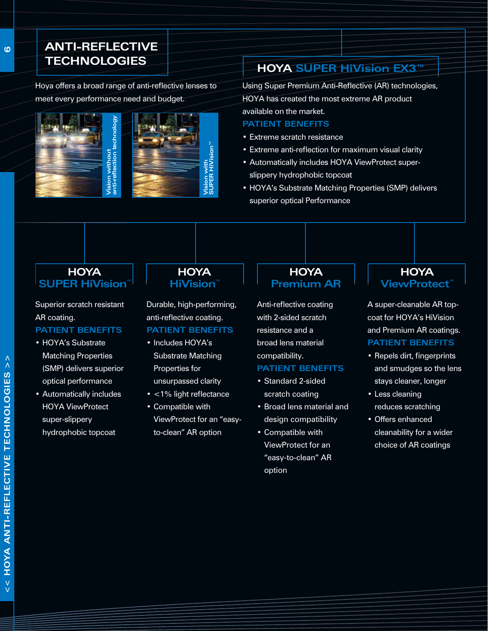# **Anti-Reflective TECHNOLOGIES**

Hoya offers a broad range of anti-reflective lenses to meet every performance need and budget.





# **HOYA SUPER HiVision EX3™**

Using Super Premium Anti-Reflective (AR) technologies, HOYA has created the most extreme AR product available on the market.

#### **Patient Benefits**

- • Extreme scratch resistance
- Extreme anti-reflection for maximum visual clarity
- Automatically includes HOYA ViewProtect superslippery hydrophobic topcoat
- HOYA's Substrate Matching Properties (SMP) delivers superior optical Performance

# **HOYA SUPER HiVision™**

Superior scratch resistant AR coating. **Patient Benefits**

- HOYA's Substrate Matching Properties (SMP) delivers superior optical performance
- • Automatically includes HOYA ViewProtect super-slippery hydrophobic topcoat

#### **HOYA HiVision™**

**SUPER HiVision™**

Durable, high-performing, anti-reflective coating. **Patient Benefits**

- Includes HOYA's Substrate Matching Properties for
- unsurpassed clarity
- <1% light reflectance
- • Compatible with ViewProtect for an "easyto-clean" AR option

#### **HOYA Premium AR**

Anti-reflective coating with 2-sided scratch resistance and a broad lens material compatibility.

#### **Patient Benefits**

- Standard 2-sided scratch coating
- • Broad lens material and design compatibility
- • Compatible with ViewProtect for an "easy-to-clean" AR option

### **HOYA ViewProtect™**

A super-cleanable AR topcoat for HOYA's HiVision and Premium AR coatings. **Patient Benefits**

#### • Repels dirt, fingerprints and smudges so the lens stays cleaner, longer

- • Less cleaning reduces scratching
- • Offers enhanced cleanability for a wider choice of AR coatings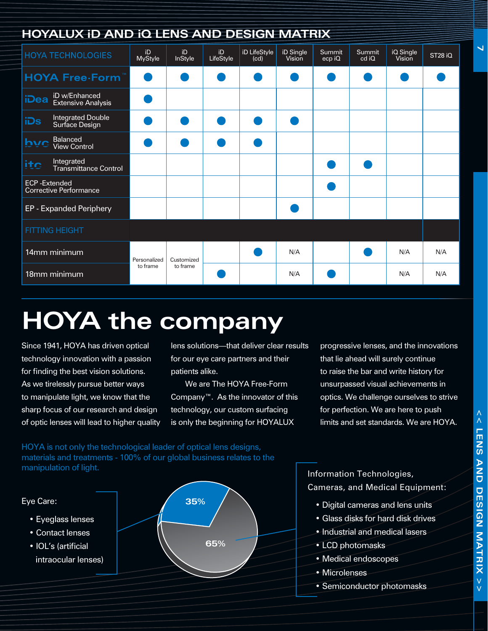| <b>HOYALUX ID AND IQ LENS AND DESIGN MATRIX</b>      |                          |                        |                 |                      |                     |                  |                        |                     |                     |
|------------------------------------------------------|--------------------------|------------------------|-----------------|----------------------|---------------------|------------------|------------------------|---------------------|---------------------|
| <b>HOYA TECHNOLOGIES</b>                             | iD<br>MyStyle            | iD<br><b>InStyle</b>   | iD<br>LifeStyle | iD LifeStyle<br>(cd) | iD Single<br>Vision | Summit<br>ecp iQ | <b>Summit</b><br>cd iQ | iQ Single<br>Vision | ST <sub>28</sub> iQ |
| <b>HOYA Free Form</b>                                |                          |                        |                 |                      |                     |                  |                        |                     |                     |
| iD w/Enhanced<br>iDea<br><b>Extensive Analysis</b>   |                          |                        |                 |                      |                     |                  |                        |                     |                     |
| Integrated Double<br>Surface Design<br>iDs           |                          |                        |                 |                      |                     |                  |                        |                     |                     |
| <b>Balanced</b><br>hvc<br><b>View Control</b>        |                          |                        |                 |                      |                     |                  |                        |                     |                     |
| Integrated<br>ite<br>Transmittance Control           |                          |                        |                 |                      |                     |                  |                        |                     |                     |
| <b>ECP-Extended</b><br><b>Corrective Performance</b> |                          |                        |                 |                      |                     |                  |                        |                     |                     |
| EP - Expanded Periphery                              |                          |                        |                 |                      |                     |                  |                        |                     |                     |
| <b>FITTING HEIGHT</b>                                |                          |                        |                 |                      |                     |                  |                        |                     |                     |
| 14mm minimum                                         | Personalized<br>to frame | Customized<br>to frame |                 |                      | N/A                 |                  |                        | N/A                 | N/A                 |
| 18mm minimum                                         |                          |                        |                 |                      | N/A                 |                  |                        | N/A                 | N/A                 |

# **HOYA the company**

Since 1941, HOYA has driven optical technology innovation with a passion for finding the best vision solutions. As we tirelessly pursue better ways to manipulate light, we know that the sharp focus of our research and design of optic lenses will lead to higher quality lens solutions—that deliver clear results for our eye care partners and their patients alike.

We are The HOYA Free-Form Company™. As the innovator of this technology, our custom surfacing is only the beginning for HOYALUX

progressive lenses, and the innovations that lie ahead will surely continue to raise the bar and write history for unsurpassed visual achievements in optics. We challenge ourselves to strive for perfection. We are here to push limits and set standards. We are HOYA.

HOYA is not only the technological leader of optical lens designs, materials and treatments - 100% of our global business relates to the manipulation of light.



Information Technologies, Cameras, and Medical Equipment:

- Digital cameras and lens units
- Glass disks for hard disk drives
- Industrial and medical lasers
- LCD photomasks
- Medical endoscopes
- Microlenses
- Semiconductor photomasks

**7**